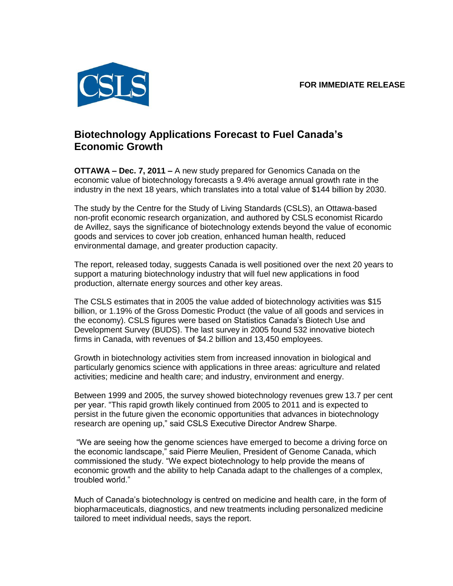**FOR IMMEDIATE RELEASE**



## **Biotechnology Applications Forecast to Fuel Canada's Economic Growth**

**OTTAWA – Dec. 7, 2011 –** A new study prepared for Genomics Canada on the economic value of biotechnology forecasts a 9.4% average annual growth rate in the industry in the next 18 years, which translates into a total value of \$144 billion by 2030.

The study by the Centre for the Study of Living Standards (CSLS), an Ottawa-based non-profit economic research organization, and authored by CSLS economist Ricardo de Avillez, says the significance of biotechnology extends beyond the value of economic goods and services to cover job creation, enhanced human health, reduced environmental damage, and greater production capacity.

The report, released today, suggests Canada is well positioned over the next 20 years to support a maturing biotechnology industry that will fuel new applications in food production, alternate energy sources and other key areas.

The CSLS estimates that in 2005 the value added of biotechnology activities was \$15 billion, or 1.19% of the Gross Domestic Product (the value of all goods and services in the economy). CSLS figures were based on Statistics Canada's Biotech Use and Development Survey (BUDS). The last survey in 2005 found 532 innovative biotech firms in Canada, with revenues of \$4.2 billion and 13,450 employees.

Growth in biotechnology activities stem from increased innovation in biological and particularly genomics science with applications in three areas: agriculture and related activities; medicine and health care; and industry, environment and energy.

Between 1999 and 2005, the survey showed biotechnology revenues grew 13.7 per cent per year. "This rapid growth likely continued from 2005 to 2011 and is expected to persist in the future given the economic opportunities that advances in biotechnology research are opening up," said CSLS Executive Director Andrew Sharpe.

"We are seeing how the genome sciences have emerged to become a driving force on the economic landscape," said Pierre Meulien, President of Genome Canada, which commissioned the study. "We expect biotechnology to help provide the means of economic growth and the ability to help Canada adapt to the challenges of a complex, troubled world."

Much of Canada's biotechnology is centred on medicine and health care, in the form of biopharmaceuticals, diagnostics, and new treatments including personalized medicine tailored to meet individual needs, says the report.